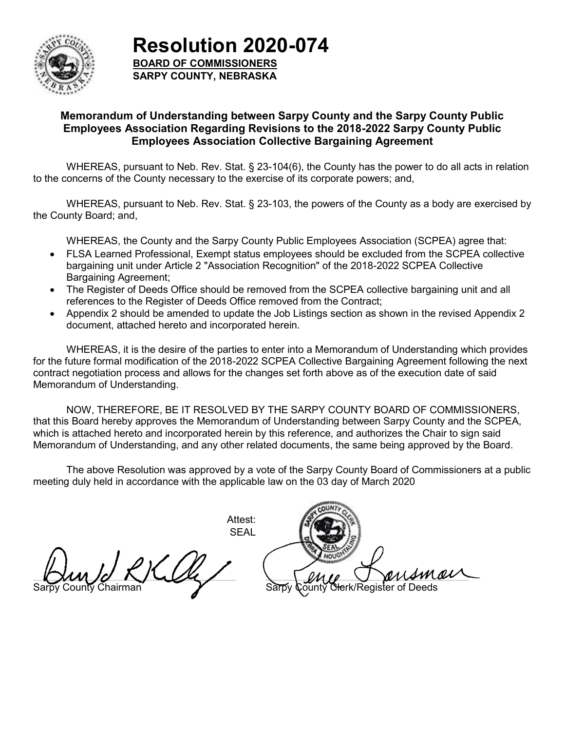

**Resolution 2020-074**

**BOARD OF COMMISSIONERS SARPY COUNTY, NEBRASKA**

### **Memorandum of Understanding between Sarpy County and the Sarpy County Public Employees Association Regarding Revisions to the 2018-2022 Sarpy County Public Employees Association Collective Bargaining Agreement**

WHEREAS, pursuant to Neb. Rev. Stat. § 23-104(6), the County has the power to do all acts in relation to the concerns of the County necessary to the exercise of its corporate powers; and,

WHEREAS, pursuant to Neb. Rev. Stat. § 23-103, the powers of the County as a body are exercised by the County Board; and,

WHEREAS, the County and the Sarpy County Public Employees Association (SCPEA) agree that:

- FLSA Learned Professional, Exempt status employees should be excluded from the SCPEA collective bargaining unit under Article 2 "Association Recognition" of the 2018-2022 SCPEA Collective Bargaining Agreement;
- The Register of Deeds Office should be removed from the SCPEA collective bargaining unit and all references to the Register of Deeds Office removed from the Contract;
- Appendix 2 should be amended to update the Job Listings section as shown in the revised Appendix 2 document, attached hereto and incorporated herein.

WHEREAS, it is the desire of the parties to enter into a Memorandum of Understanding which provides for the future formal modification of the 2018-2022 SCPEA Collective Bargaining Agreement following the next contract negotiation process and allows for the changes set forth above as of the execution date of said Memorandum of Understanding.

NOW, THEREFORE, BE IT RESOLVED BY THE SARPY COUNTY BOARD OF COMMISSIONERS, that this Board hereby approves the Memorandum of Understanding between Sarpy County and the SCPEA, which is attached hereto and incorporated herein by this reference, and authorizes the Chair to sign said Memorandum of Understanding, and any other related documents, the same being approved by the Board.

The above Resolution was approved by a vote of the Sarpy County Board of Commissioners at a public meeting duly held in accordance with the applicable law on the 03 day of March 2020

> Attest: SEAL

 $\blacksquare$ 

Sarpy County Chairman

\_\_\_\_\_\_\_\_\_\_\_\_\_\_\_\_\_\_\_\_\_\_\_\_\_\_\_\_\_\_\_\_\_\_\_\_\_\_\_\_\_\_\_\_\_\_\_\_\_\_\_\_\_\_\_\_\_\_\_\_\_\_\_\_\_\_\_\_\_\_\_\_\_\_\_\_\_\_\_\_\_\_\_\_\_\_\_\_\_\_\_\_\_\_\_\_\_\_\_\_\_\_\_\_\_\_\_\_\_\_\_\_\_\_\_\_\_\_\_\_\_\_\_\_\_\_\_\_\_\_\_\_ Sounty Clerk/Register of Deeds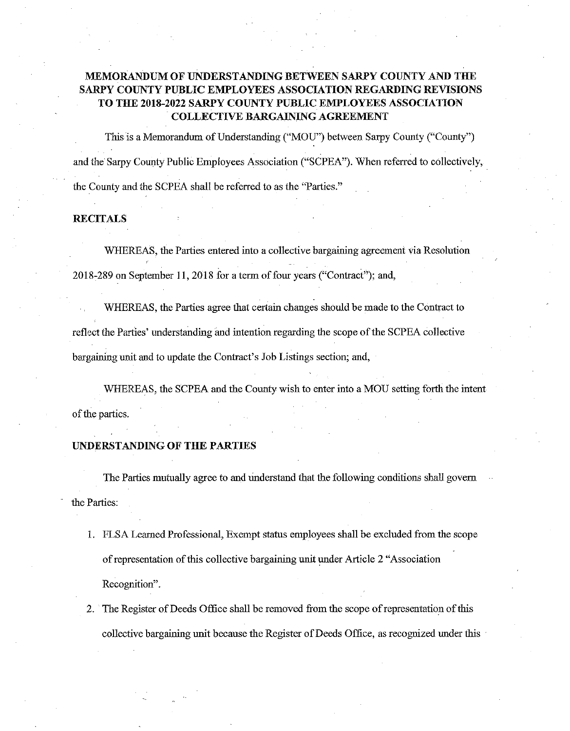### MEMORANDUM OF UNDERSTANDING BETWEEN SARPY COUNTY AND THE SARPY COUNTY PUBLIC EMPLOYEES ASSOCIATION REGARDING REVISIONS TO THE 2018-2022 SARPY COUNTY PUBLIC EMPLOYEES ASSOCIATION COLLECTIVE BARGAINING AGREEMENT

This is a Memorandumof Understanding ("MOU") between Sarpy County ("County") and the Sarpy County Public Employees Association ("SCPEA"). When referred to collectively, the County and the SCPEA shall be referred to as the "Parties."

#### RECITALS

WHEREAS, the Parties entered into a collective bargaining agreement via Resolution r 2018-289 on September 11, 2018 for a term of four years ("Contract"); and,

WHEREAS, the Parties agree that certain changes should be made to the Contract to reflect the Parties' understanding and intention regarding the scope of the SCPEA collective bargaining unit and to update the Contract's Job Listings section; and,

WHEREAS, the SCPEA and the County wish to enter into a MOU setting forth the intent of the parties.

#### UNDERSTANDING OF THE PARTIES

The Parties mutually agree to and understand that the following conditions shall govern the Parties:

- 1. FLSA Learned Professional, Exempt status employees shall be excluded from the scope of representation of this collective bargaining unit underArticle <sup>2</sup> "Association Recognition".
- 2. The Register of Deeds Office shall be removed from the scope of representation of this collective bargaining unit because the Register of Deeds Office, as recognized under this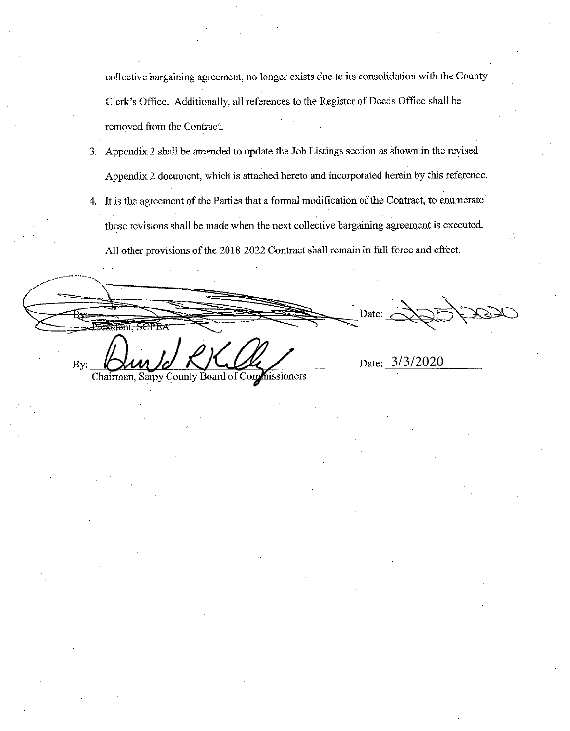collective bargaining agreement, no longer exists due to its consolidation with the County Clerk's Office. Additionally, all references to the Register of Deeds Office shall be removed from the Contract.

- 3. Appendix <sup>2</sup> shall be amended to update the Job Listings section as shownin the revised Appendix 2 document, which is attached hereto and incorporated herein by this reference.
- 4. It is the agreement of the Parties that a formal modification of the Contract, to enumerate these revisions shall be made when the next collective bargaining agreement is executed. All other provisions of the 2018-2022 Contact shall remain in full force and effect.

President, SCPE/ By:

Date:

Date:  $3/3/2020$ 

Chairman, Sarpy County Board of Commissioners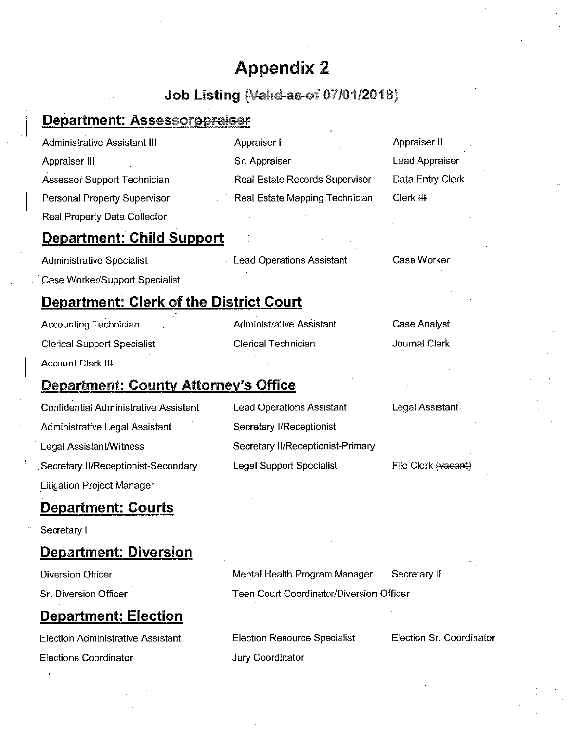# Appendix 2

## Job Listing (Valid as of 07/04/2018)

### Department: Assessorppraiser

| Administrative Assistant III     | Appraiser I                    | Appraiser II     |
|----------------------------------|--------------------------------|------------------|
| Appraiser III                    | Sr. Appraiser                  | Lead Appraiser   |
| Assessor Support Technician      | Real Estate Records Supervisor | Data Entry Clerk |
| Personal Property Supervisor     | Real Estate Mapping Technician | $Clerk$ $H$      |
| Real Property Data Collector     |                                |                  |
| <b>Department: Child Support</b> |                                |                  |

| <b>Administrative Specialist</b> | <b>Lead Operations Assistant</b> | Case Worker |
|----------------------------------|----------------------------------|-------------|
| Case Worker/Support Specialist   |                                  |             |

### Department: Clerk of the District Court

| <b>Accounting Technician</b>       |  |
|------------------------------------|--|
| <b>Clerical Support Specialist</b> |  |
| Account Clerk III                  |  |

Department: County Attorney's Office Confidential Administrative Assistant Lead Operations Assistant

Administrative Assistant

Clerical Technician

Legal Assistant

Case Analyst

Journal Clerk

Secretary II/Receptionist-Secondary Administrative Legal Assistant Secretary I/Receptionist Legal Assistant/Witness Secretary II/Receptionist-Primary Litigation Project Manager

Department: Courts

Secretary I

### Department: Diversion

Diversion Officer **Mental Health Program Manager** Mental Health Program Manager

Sr. Diversion Officer

# Department: Election

Election Administrative Assistant Election Resource Specialist Elections Coordinator **Coordinator** Jury Coordinator

Legal Support Specialist

File Clerk (vacant)

Secretary ll

Teen Court Coordinator/Diversion Officer

Election Sr. Coordinator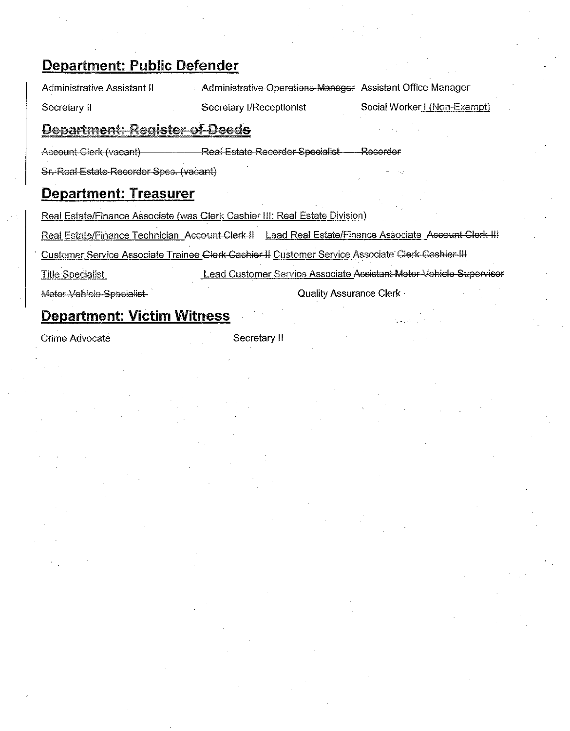## Department: Public Defender

Administrative Assistant II . Administrative Operations Manager Assistant Office Manager

Secretary II Secretary I/Receptionist Social Worker I (Non-Exempt)

### Department: Register of Deeds

**Real Estate Recorder Specialist** Account Clerk (vacant) Recorder

Sr. Real Estate Recorder Spec. (vacant)

### Degartment: Treasurer

Real Estate/Finance Associate {was Cierk Cashier ill: Real Estate Division)

Real Estate/Finance Technician Account Clerk II Lead Real Estate/Finance Associate Account Clerk-III

Customer Service Associate Trainee Clerk-Cashier II Customer Service Associate Clerk-Cashier-III

Title Specialist Lead Customer Service Associate Assistant Motor Vehicle Supervisor

Motor Vehicle Specialist

Quality Assurance Clerk -

# Degartment: Victim Witness

Crime Advocate Secretary II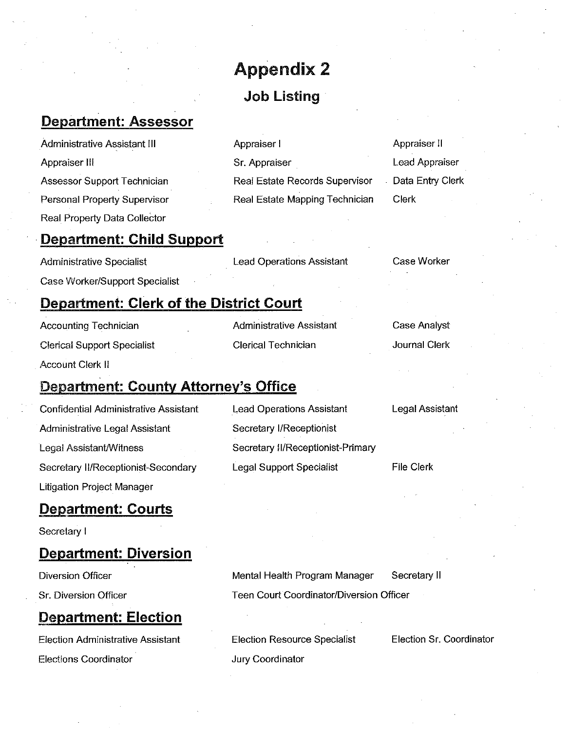# Appendix 2 Job Listing

Appraiser I

Sr. Appraiser

### Department:Assessor

Administrative Assistant III Appraiser lll Assessor Support Technician Personal Property Supervisor Real Property Data Collector

### Department: Child Support

Administrative Specialist Case Worker/Support Specialist **Lead Operations Assistant** 

Administrative Assistant

Clerical Technician

Real Estate Records Supervisor Real Estate Mapping Technician

### Case Worker

Case Analyst

Journal Clerk

Appraiser ll

Clerk

Lead Appraiser

Data Entry Clerk

### Department: Clerk of the District Court

Accounting Technician Clerical Support Specialist Account Clerk ll

# **Department: County Attorney's Office**

Confidential Administrative Assistant Administrative Legal Assistant Legal Assistant/Witness Secretary II/Receptionist-Secondary Litigation Project Manager

### Department: Courts

Secretary I

### Department: Diversion

**Diversion Officer** 

Sr. Diversion Officer

### Department: Election

Election Administrative Assistant Elections Coordinator'

Lead Operations Assistant Secretary I/Receptionist Secretary II/Receptionist-Primary Legal Support Specialist

Legal Assistant

File Clerk

Mental Health Program Manager Secretary ll Teen Court Coordinator/Diversion Officer

Election Resource Specialist Jury Coordinator

Election Sr. Coordinator